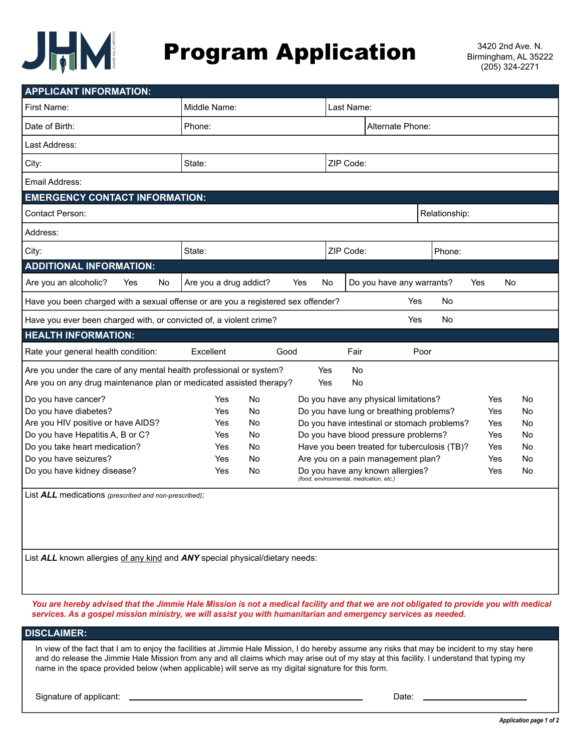

## **Program Application** 3420 2nd Ave. N.

| <b>APPLICANT INFORMATION:</b>                                                     |                            |           |           |                                                                             |           |                  |           |
|-----------------------------------------------------------------------------------|----------------------------|-----------|-----------|-----------------------------------------------------------------------------|-----------|------------------|-----------|
| First Name:                                                                       | Middle Name:<br>Last Name: |           |           |                                                                             |           |                  |           |
| Date of Birth:                                                                    | Phone:                     |           |           | Alternate Phone:                                                            |           |                  |           |
| Last Address:                                                                     |                            |           |           |                                                                             |           |                  |           |
| City:                                                                             | State:                     |           | ZIP Code: |                                                                             |           |                  |           |
| Email Address:                                                                    |                            |           |           |                                                                             |           |                  |           |
| <b>EMERGENCY CONTACT INFORMATION:</b>                                             |                            |           |           |                                                                             |           |                  |           |
| Contact Person:                                                                   |                            |           |           | Relationship:                                                               |           |                  |           |
| Address:                                                                          |                            |           |           |                                                                             |           |                  |           |
| City:                                                                             | State:                     |           | ZIP Code: | Phone:                                                                      |           |                  |           |
| <b>ADDITIONAL INFORMATION:</b>                                                    |                            |           |           |                                                                             |           |                  |           |
| Are you an alcoholic?<br>Yes<br>No                                                | Are you a drug addict?     | Yes<br>No |           | Do you have any warrants?                                                   |           | <b>No</b><br>Yes |           |
| Have you been charged with a sexual offense or are you a registered sex offender? |                            |           |           | Yes                                                                         | <b>No</b> |                  |           |
| Have you ever been charged with, or convicted of, a violent crime?                |                            |           |           | Yes                                                                         | <b>No</b> |                  |           |
| <b>HEALTH INFORMATION:</b>                                                        |                            |           |           |                                                                             |           |                  |           |
| Rate your general health condition:                                               | Excellent                  | Good      | Fair      |                                                                             | Poor      |                  |           |
| Are you under the care of any mental health professional or system?               |                            | Yes       | <b>No</b> |                                                                             |           |                  |           |
| Are you on any drug maintenance plan or medicated assisted therapy?               |                            | Yes       | <b>No</b> |                                                                             |           |                  |           |
| Do you have cancer?                                                               | Yes<br><b>No</b>           |           |           | Do you have any physical limitations?                                       |           | Yes              | No        |
| Do you have diabetes?                                                             | No<br>Yes                  |           |           | Do you have lung or breathing problems?                                     |           | Yes              | No        |
| Are you HIV positive or have AIDS?                                                | No<br>Yes                  |           |           | Do you have intestinal or stomach problems?                                 |           | Yes              | No        |
| Do you have Hepatitis A, B or C?                                                  | Yes<br><b>No</b>           |           |           | Do you have blood pressure problems?                                        |           | Yes              | No        |
| Do you take heart medication?                                                     | <b>No</b><br>Yes           |           |           | Have you been treated for tuberculosis (TB)?                                |           | Yes              | No        |
| Do you have seizures?                                                             | <b>No</b><br>Yes           |           |           | Are you on a pain management plan?                                          |           | Yes              | No        |
| Do you have kidney disease?                                                       | Yes<br><b>No</b>           |           |           | Do you have any known allergies?<br>(food, environmental, medication, etc.) |           | Yes              | <b>No</b> |
| List ALL medications (prescribed and non-prescribed):                             |                            |           |           |                                                                             |           |                  |           |

List **ALL** known allergies of any kind and **ANY** special physical/dietary needs:

*You are hereby advised that the Jimmie Hale Mission is not a medical facility and that we are not obligated to provide you with medical services. As a gospel mission ministry, we will assist you with humanitarian and emergency services as needed.*

### **DISCLAIMER:**

In view of the fact that I am to enjoy the facilities at Jimmie Hale Mission, I do hereby assume any risks that may be incident to my stay here and do release the Jimmie Hale Mission from any and all claims which may arise out of my stay at this facility. I understand that typing my name in the space provided below (when applicable) will serve as my digital signature for this form.

Signature of applicant: Date: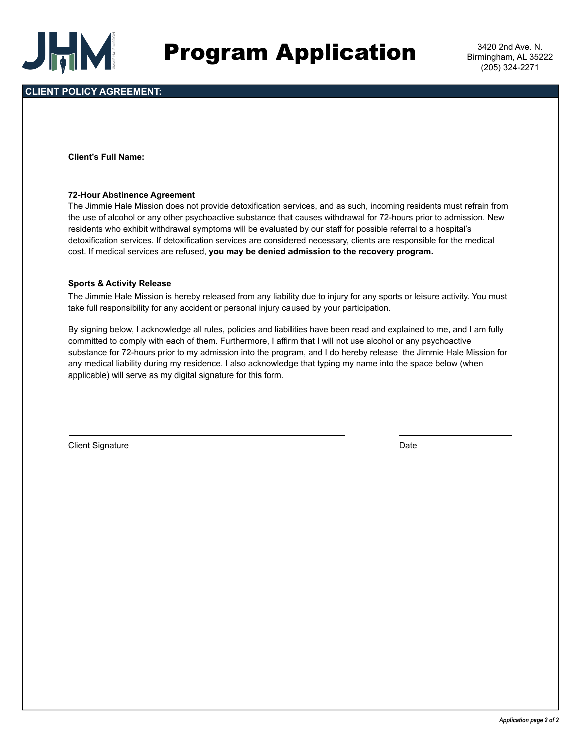

### **CLIENT POLICY AGREEMENT:**

**Client's Full Name:**

### **72-Hour Abstinence Agreement**

The Jimmie Hale Mission does not provide detoxification services, and as such, incoming residents must refrain from the use of alcohol or any other psychoactive substance that causes withdrawal for 72-hours prior to admission. New residents who exhibit withdrawal symptoms will be evaluated by our staff for possible referral to a hospital's detoxification services. If detoxification services are considered necessary, clients are responsible for the medical cost. If medical services are refused, **you may be denied admission to the recovery program.**

### **Sports & Activity Release**

The Jimmie Hale Mission is hereby released from any liability due to injury for any sports or leisure activity. You must take full responsibility for any accident or personal injury caused by your participation.

By signing below, I acknowledge all rules, policies and liabilities have been read and explained to me, and I am fully committed to comply with each of them. Furthermore, I affirm that I will not use alcohol or any psychoactive substance for 72-hours prior to my admission into the program, and I do hereby release the Jimmie Hale Mission for any medical liability during my residence. I also acknowledge that typing my name into the space below (when applicable) will serve as my digital signature for this form.

Client Signature Date Client Signature Date Client Signature Date Date Client Signature Date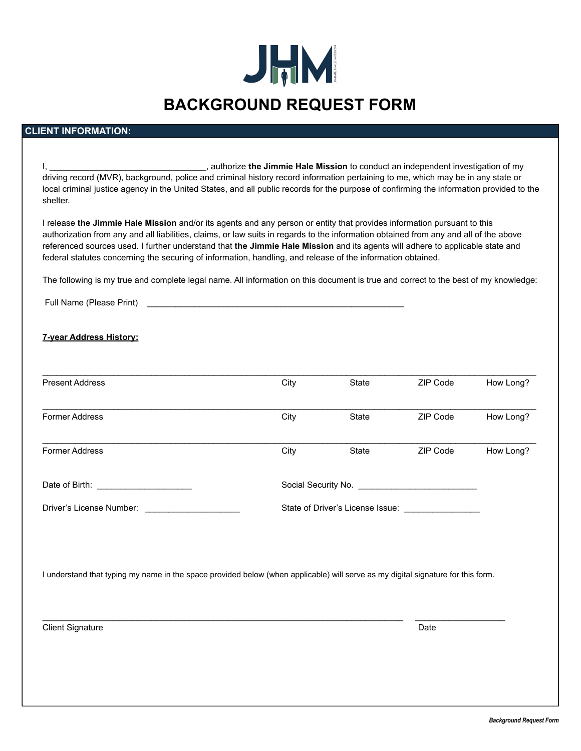

## **BACKGROUND REQUEST FORM**

### **CLIENT INFORMATION:**

| authorize the Jimmie Hale Mission to conduct an independent investigation of my not conduct an independent investigation of my<br>driving record (MVR), background, police and criminal history record information pertaining to me, which may be in any state or<br>local criminal justice agency in the United States, and all public records for the purpose of confirming the information provided to the<br>shelter.                                                                                        |      |       |          |           |
|------------------------------------------------------------------------------------------------------------------------------------------------------------------------------------------------------------------------------------------------------------------------------------------------------------------------------------------------------------------------------------------------------------------------------------------------------------------------------------------------------------------|------|-------|----------|-----------|
| I release the Jimmie Hale Mission and/or its agents and any person or entity that provides information pursuant to this<br>authorization from any and all liabilities, claims, or law suits in regards to the information obtained from any and all of the above<br>referenced sources used. I further understand that the Jimmie Hale Mission and its agents will adhere to applicable state and<br>federal statutes concerning the securing of information, handling, and release of the information obtained. |      |       |          |           |
| The following is my true and complete legal name. All information on this document is true and correct to the best of my knowledge:                                                                                                                                                                                                                                                                                                                                                                              |      |       |          |           |
| Full Name (Please Print)<br><u> 1989 - Johann Barbara, martxa alemaniar argumento de la contrada de la contrada de la contrada de la contrad</u>                                                                                                                                                                                                                                                                                                                                                                 |      |       |          |           |
| <b>7-year Address History:</b>                                                                                                                                                                                                                                                                                                                                                                                                                                                                                   |      |       |          |           |
| <b>Present Address</b>                                                                                                                                                                                                                                                                                                                                                                                                                                                                                           | City | State | ZIP Code | How Long? |
| Former Address                                                                                                                                                                                                                                                                                                                                                                                                                                                                                                   | City | State | ZIP Code | How Long? |
| Former Address                                                                                                                                                                                                                                                                                                                                                                                                                                                                                                   | City | State | ZIP Code | How Long? |
| Date of Birth: <u>____________________</u>                                                                                                                                                                                                                                                                                                                                                                                                                                                                       |      |       |          |           |
|                                                                                                                                                                                                                                                                                                                                                                                                                                                                                                                  |      |       |          |           |
|                                                                                                                                                                                                                                                                                                                                                                                                                                                                                                                  |      |       |          |           |
| I understand that typing my name in the space provided below (when applicable) will serve as my digital signature for this form.                                                                                                                                                                                                                                                                                                                                                                                 |      |       |          |           |
|                                                                                                                                                                                                                                                                                                                                                                                                                                                                                                                  |      |       |          |           |
| <b>Client Signature</b>                                                                                                                                                                                                                                                                                                                                                                                                                                                                                          |      |       | Date     |           |
|                                                                                                                                                                                                                                                                                                                                                                                                                                                                                                                  |      |       |          |           |
|                                                                                                                                                                                                                                                                                                                                                                                                                                                                                                                  |      |       |          |           |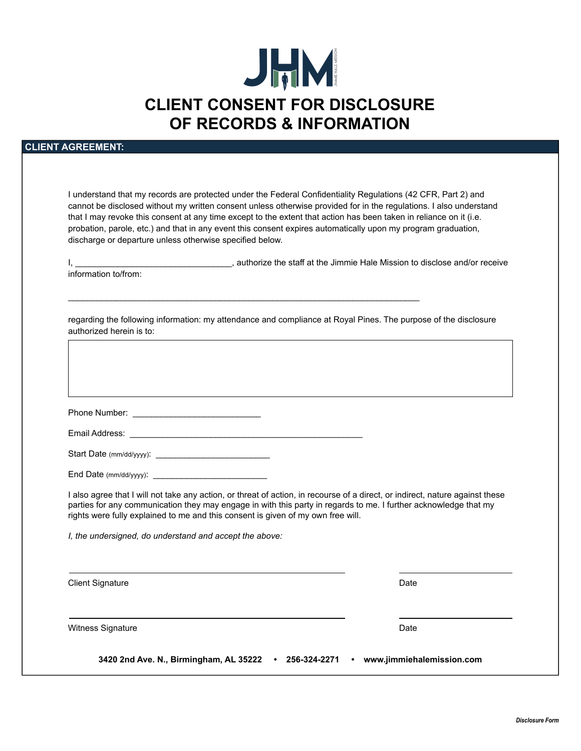# JHM **CLIENT CONSENT FOR DISCLOSURE OF RECORDS & INFORMATION**

### **CLIENT AGREEMENT:**

I understand that my records are protected under the Federal Confidentiality Regulations (42 CFR, Part 2) and cannot be disclosed without my written consent unless otherwise provided for in the regulations. I also understand that I may revoke this consent at any time except to the extent that action has been taken in reliance on it (i.e. probation, parole, etc.) and that in any event this consent expires automatically upon my program graduation, discharge or departure unless otherwise specified below.

I, \_\_\_\_\_\_\_\_\_\_\_\_\_\_\_\_\_\_\_\_\_\_\_\_\_\_\_\_\_\_\_\_\_\_\_, authorize the staff at the Jimmie Hale Mission to disclose and/or receive information to/from:

regarding the following information: my attendance and compliance at Royal Pines. The purpose of the disclosure authorized herein is to:

\_\_\_\_\_\_\_\_\_\_\_\_\_\_\_\_\_\_\_\_\_\_\_\_\_\_\_\_\_\_\_\_\_\_\_\_\_\_\_\_\_\_\_\_\_\_\_\_\_\_\_\_\_\_\_\_\_\_\_\_\_\_\_\_\_\_\_\_\_\_\_\_\_\_

| Phone Number: |  |
|---------------|--|
|               |  |

| Email Address: |  |
|----------------|--|
|                |  |
|                |  |

Start Date (mm/dd/yyyy): \_\_\_\_\_\_\_\_\_\_\_\_\_\_\_\_\_\_\_\_\_\_\_\_

End Date (mm/dd/yyyy): \_\_\_\_\_\_\_\_\_\_\_\_\_\_\_\_\_\_\_\_\_\_\_\_

I also agree that I will not take any action, or threat of action, in recourse of a direct, or indirect, nature against these parties for any communication they may engage in with this party in regards to me. I further acknowledge that my rights were fully explained to me and this consent is given of my own free will.

*I, the undersigned, do understand and accept the above:*

Client Signature Date Client Signature Date Client Signature Date Date Client Signature Date Date

Witness Signature **Date** Date of the Date of the Date of the Date of the Date of the Date of the Date of the Date of the Date of the Date of the Date of the Date of the Date of the Date of the Date of the Date of the Date

**3420 2nd Ave. N., Birmingham, AL 35222 • 256-324-2271 • www.jimmiehalemission.com**